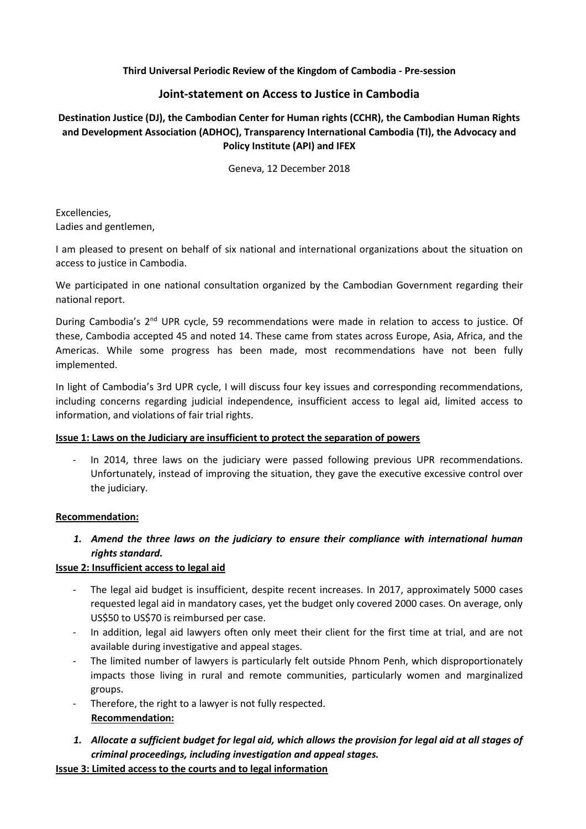## **Third Universal Periodic Review of the Kingdom of Cambodia - Pre-session**

# **Joint-statement on Access to Justice in Cambodia**

# **Destination Justice (DJ), the Cambodian Center for Human rights (CCHR), the Cambodian Human Rights and Development Association (ADHOC), Transparency International Cambodia (TI), the Advocacy and Policy Institute (API) and IFEX**

Geneva, 12 December 2018

Excellencies, Ladies and gentlemen,

I am pleased to present on behalf of six national and international organizations about the situation on access to justice in Cambodia.

We participated in one national consultation organized by the Cambodian Government regarding their national report.

During Cambodia's 2<sup>nd</sup> UPR cycle, 59 recommendations were made in relation to access to justice. Of these, Cambodia accepted 45 and noted 14. These came from states across Europe, Asia, Africa, and the Americas. While some progress has been made, most recommendations have not been fully implemented.

In light of Cambodia's 3rd UPR cycle, I will discuss four key issues and corresponding recommendations, including concerns regarding judicial independence, insufficient access to legal aid, limited access to information, and violations of fair trial rights.

## **Issue 1: Laws on the Judiciary are insufficient to protect the separation of powers**

- In 2014, three laws on the judiciary were passed following previous UPR recommendations. Unfortunately, instead of improving the situation, they gave the executive excessive control over the judiciary.

#### **Recommendation:**

*1. Amend the three laws on the judiciary to ensure their compliance with international human rights standard.*

## **Issue 2: Insufficient access to legal aid**

- The legal aid budget is insufficient, despite recent increases. In 2017, approximately 5000 cases requested legal aid in mandatory cases, yet the budget only covered 2000 cases. On average, only US\$50 to US\$70 is reimbursed per case.
- In addition, legal aid lawyers often only meet their client for the first time at trial, and are not available during investigative and appeal stages.
- The limited number of lawyers is particularly felt outside Phnom Penh, which disproportionately impacts those living in rural and remote communities, particularly women and marginalized groups.
- Therefore, the right to a lawyer is not fully respected. **Recommendation:**
- *1. Allocate a sufficient budget for legal aid, which allows the provision for legal aid at all stages of criminal proceedings, including investigation and appeal stages.*

**Issue 3: Limited access to the courts and to legal information**